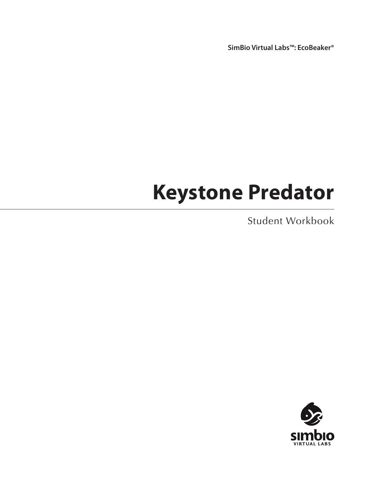**SimBio Virtual Labs™: EcoBeaker®**

# **Keystone Predator**

Student Workbook

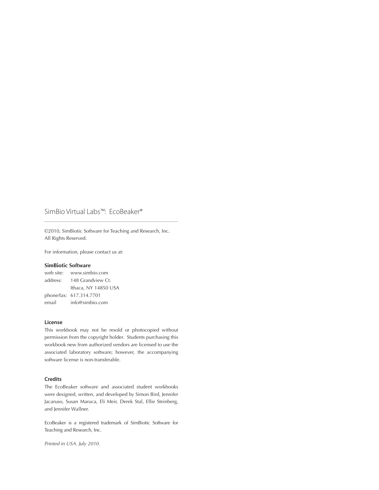#### SimBio Virtual Labs™: EcoBeaker®

©2010, SimBiotic Software for Teaching and Research, Inc. All Rights Reserved.

For information, please contact us at:

#### **SimBiotic Software**

web site: www.simbio.com address: 148 Grandview Ct. Ithaca, NY 14850 USA phone/fax: 617.314.7701 email info@simbio.com

#### **License**

This workbook may not be resold or photocopied without permission from the copyright holder. Students purchasing this workbook new from authorized vendors are licensed to use the associated laboratory software; however, the accompanying software license is non-transferable.

#### **Credits**

The EcoBeaker software and associated student workbooks were designed, written, and developed by Simon Bird, Jennifer Jacaruso, Susan Maruca, Eli Meir, Derek Stal, Ellie Steinberg, and Jennifer Wallner.

EcoBeaker is a registered trademark of SimBiotic Software for Teaching and Research, Inc.

*Printed in USA. July 2010.*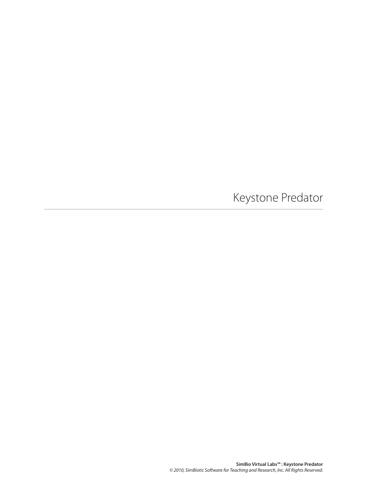Keystone Predator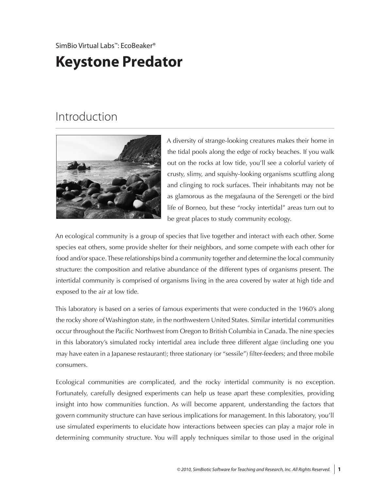### SimBio Virtual Labs™: EcoBeaker®

# **Keystone Predator**

# Introduction



A diversity of strange-looking creatures makes their home in the tidal pools along the edge of rocky beaches. If you walk out on the rocks at low tide, you'll see a colorful variety of crusty, slimy, and squishy-looking organisms scuttling along and clinging to rock surfaces. Their inhabitants may not be as glamorous as the megafauna of the Serengeti or the bird life of Borneo, but these "rocky intertidal" areas turn out to be great places to study community ecology.

An ecological community is a group of species that live together and interact with each other. Some species eat others, some provide shelter for their neighbors, and some compete with each other for food and/or space. These relationships bind a community together and determine the local community structure: the composition and relative abundance of the different types of organisms present. The intertidal community is comprised of organisms living in the area covered by water at high tide and exposed to the air at low tide.

This laboratory is based on a series of famous experiments that were conducted in the 1960's along the rocky shore of Washington state, in the northwestern United States. Similar intertidal communities occur throughout the Pacific Northwest from Oregon to British Columbia in Canada. The nine species in this laboratory's simulated rocky intertidal area include three different algae (including one you may have eaten in a Japanese restaurant); three stationary (or "sessile") filter-feeders; and three mobile consumers.

Ecological communities are complicated, and the rocky intertidal community is no exception. Fortunately, carefully designed experiments can help us tease apart these complexities, providing insight into how communities function. As will become apparent, understanding the factors that govern community structure can have serious implications for management. In this laboratory, you'll use simulated experiments to elucidate how interactions between species can play a major role in determining community structure. You will apply techniques similar to those used in the original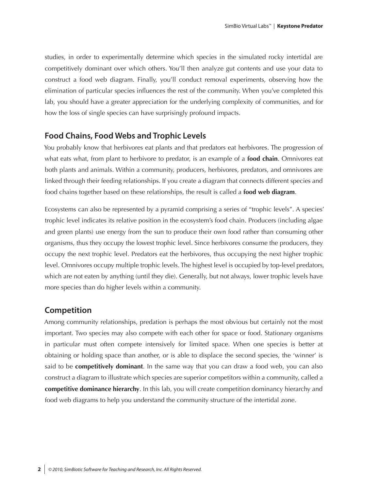studies, in order to experimentally determine which species in the simulated rocky intertidal are competitively dominant over which others. You'll then analyze gut contents and use your data to construct a food web diagram. Finally, you'll conduct removal experiments, observing how the elimination of particular species influences the rest of the community. When you've completed this lab, you should have a greater appreciation for the underlying complexity of communities, and for how the loss of single species can have surprisingly profound impacts.

### **Food Chains, Food Webs and Trophic Levels**

You probably know that herbivores eat plants and that predators eat herbivores. The progression of what eats what, from plant to herbivore to predator, is an example of a **food chain**. Omnivores eat both plants and animals. Within a community, producers, herbivores, predators, and omnivores are linked through their feeding relationships. If you create a diagram that connects different species and food chains together based on these relationships, the result is called a **food web diagram**.

Ecosystems can also be represented by a pyramid comprising a series of "trophic levels". A species' trophic level indicates its relative position in the ecosystem's food chain. Producers (including algae and green plants) use energy from the sun to produce their own food rather than consuming other organisms, thus they occupy the lowest trophic level. Since herbivores consume the producers, they occupy the next trophic level. Predators eat the herbivores, thus occupying the next higher trophic level. Omnivores occupy multiple trophic levels. The highest level is occupied by top-level predators, which are not eaten by anything (until they die). Generally, but not always, lower trophic levels have more species than do higher levels within a community.

### **Competition**

Among community relationships, predation is perhaps the most obvious but certainly not the most important. Two species may also compete with each other for space or food. Stationary organisms in particular must often compete intensively for limited space. When one species is better at obtaining or holding space than another, or is able to displace the second species, the 'winner' is said to be **competitively dominant**. In the same way that you can draw a food web, you can also construct a diagram to illustrate which species are superior competitors within a community, called a **competitive dominance hierarchy**. In this lab, you will create competition dominancy hierarchy and food web diagrams to help you understand the community structure of the intertidal zone.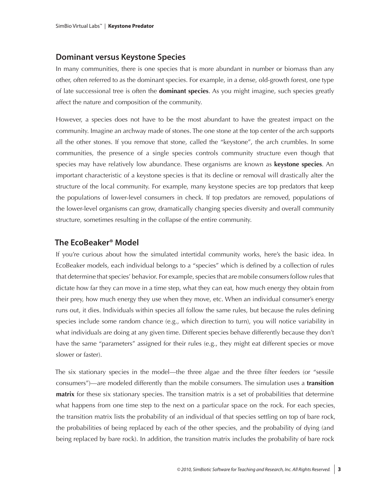### **Dominant versus Keystone Species**

In many communities, there is one species that is more abundant in number or biomass than any other, often referred to as the dominant species. For example, in a dense, old-growth forest, one type of late successional tree is often the **dominant species**. As you might imagine, such species greatly affect the nature and composition of the community.

However, a species does not have to be the most abundant to have the greatest impact on the community. Imagine an archway made of stones. The one stone at the top center of the arch supports all the other stones. If you remove that stone, called the "keystone", the arch crumbles. In some communities, the presence of a single species controls community structure even though that species may have relatively low abundance. These organisms are known as **keystone species**. An important characteristic of a keystone species is that its decline or removal will drastically alter the structure of the local community. For example, many keystone species are top predators that keep the populations of lower-level consumers in check. If top predators are removed, populations of the lower-level organisms can grow, dramatically changing species diversity and overall community structure, sometimes resulting in the collapse of the entire community.

### **The EcoBeaker® Model**

If you're curious about how the simulated intertidal community works, here's the basic idea. In EcoBeaker models, each individual belongs to a "species" which is defined by a collection of rules that determine that species' behavior. For example, species that are mobile consumers follow rules that dictate how far they can move in a time step, what they can eat, how much energy they obtain from their prey, how much energy they use when they move, etc. When an individual consumer's energy runs out, it dies. Individuals within species all follow the same rules, but because the rules defining species include some random chance (e.g., which direction to turn), you will notice variability in what individuals are doing at any given time. Different species behave differently because they don't have the same "parameters" assigned for their rules (e.g., they might eat different species or move slower or faster).

The six stationary species in the model—the three algae and the three filter feeders (or "sessile consumers")—are modeled differently than the mobile consumers. The simulation uses a **transition matrix** for these six stationary species. The transition matrix is a set of probabilities that determine what happens from one time step to the next on a particular space on the rock. For each species, the transition matrix lists the probability of an individual of that species settling on top of bare rock, the probabilities of being replaced by each of the other species, and the probability of dying (and being replaced by bare rock). In addition, the transition matrix includes the probability of bare rock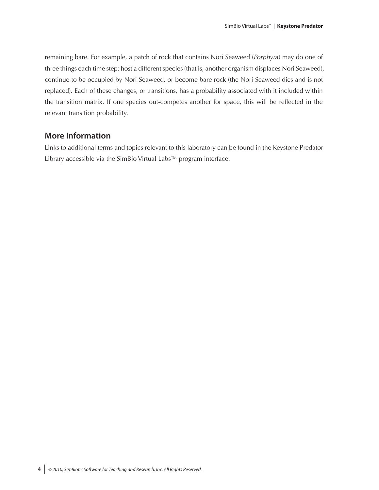remaining bare. For example, a patch of rock that contains Nori Seaweed (*Porphyra*) may do one of three things each time step: host a different species (that is, another organism displaces Nori Seaweed), continue to be occupied by Nori Seaweed, or become bare rock (the Nori Seaweed dies and is not replaced). Each of these changes, or transitions, has a probability associated with it included within the transition matrix. If one species out-competes another for space, this will be reflected in the relevant transition probability.

### **More Information**

Links to additional terms and topics relevant to this laboratory can be found in the Keystone Predator Library accessible via the SimBio Virtual Labs™ program interface.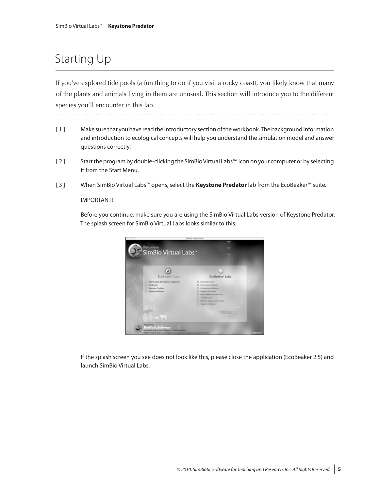# Starting Up

If you've explored tide pools (a fun thing to do if you visit a rocky coast), you likely know that many of the plants and animals living in them are unusual. This section will introduce you to the different species you'll encounter in this lab.

- [ 1 ] Make sure that you have read the introductory section of the workbook. The background information and introduction to ecological concepts will help you understand the simulation model and answer questions correctly.
- [ 2 ] Start the program by double-clicking the SimBio Virtual Labs™ icon on your computer or by selecting it from the Start Menu.
- [ 3 ] When SimBio Virtual Labs™ opens, select the **Keystone Predator** lab from the EcoBeaker™ suite.

#### IMPORTANT!

Before you continue, make sure you are using the SimBio Virtual Labs version of Keystone Predator. The splash screen for SimBio Virtual Labs looks similar to this:



If the splash screen you see does not look like this, please close the application (EcoBeaker 2.5) and launch SimBio Virtual Labs.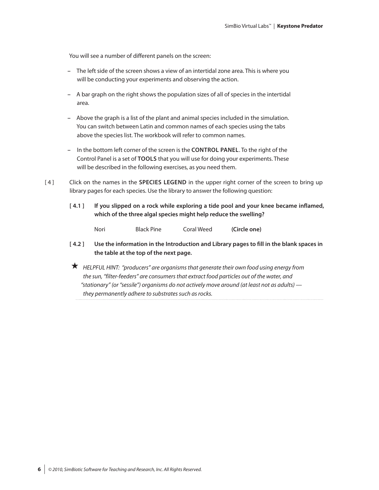You will see a number of different panels on the screen:

- **–** The left side of the screen shows a view of an intertidal zone area. This is where you will be conducting your experiments and observing the action.
- **–** A bar graph on the right shows the population sizes of all of species in the intertidal area.
- **–** Above the graph is a list of the plant and animal species included in the simulation. You can switch between Latin and common names of each species using the tabs above the species list. The workbook will refer to common names.
- **–** In the bottom left corner of the screen is the **CONTROL PANEL**. To the right of the Control Panel is a set of **TOOLS** that you will use for doing your experiments. These will be described in the following exercises, as you need them.
- [ 4 ] Click on the names in the **SPECIES LEGEND** in the upper right corner of the screen to bring up library pages for each species. Use the library to answer the following question:
	- **[ 4.1 ] If you slipped on a rock while exploring a tide pool and your knee became inflamed, which of the three algal species might help reduce the swelling?**

| <b>Black Pine</b><br>Nori | Coral Weed | (Circle one) |
|---------------------------|------------|--------------|
|---------------------------|------------|--------------|

- **[ 4.2 ] Use the information in the Introduction and Library pages to fill in the blank spaces in the table at the top of the next page.**
- *HELPFUL HINT: "producers" are organisms that generate their own food using energy from the sun, "filter-feeders" are consumers that extract food particles out of the water, and "stationary" (or "sessile") organisms do not actively move around (at least not as adults) they permanently adhere to substrates such as rocks.*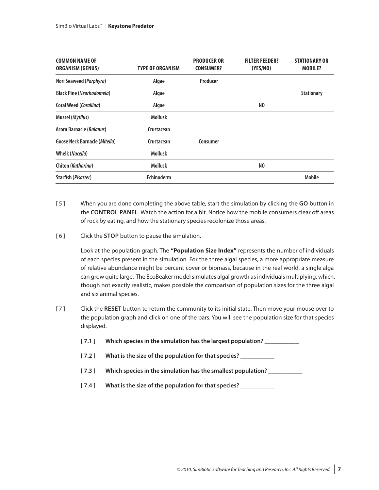| <b>COMMON NAME OF</b><br><b>ORGANISM (GENUS)</b> | <b>TYPE OF ORGANISM</b> | <b>PRODUCER OR</b><br><b>CONSUMER?</b> | <b>FILTER FEEDER?</b><br>(YES/NO) | <b>STATIONARY OR</b><br><b>MOBILE?</b> |
|--------------------------------------------------|-------------------------|----------------------------------------|-----------------------------------|----------------------------------------|
| Nori Seaweed (Porphyra)                          | Algae                   | Producer                               |                                   |                                        |
| <b>Black Pine (Neorhodomela)</b>                 | Algae                   |                                        |                                   | <b>Stationary</b>                      |
| Coral Weed (Corallina)                           | Algae                   |                                        | NO.                               |                                        |
| Mussel (Mytilus)                                 | <b>Mollusk</b>          |                                        |                                   |                                        |
| <b>Acorn Barnacle (Balanus)</b>                  | Crustacean              |                                        |                                   |                                        |
| <b>Goose Neck Barnacle (Mitella)</b>             | Crustacean              | Consumer                               |                                   |                                        |
| <b>Whelk (Nucella)</b>                           | <b>Mollusk</b>          |                                        |                                   |                                        |
| Chiton (Katharina)                               | <b>Mollusk</b>          |                                        | NO.                               |                                        |
| Starfish (Pisaster)                              | Echinoderm              |                                        |                                   | <b>Mobile</b>                          |

- [ 5 ] When you are done completing the above table, start the simulation by clicking the **GO** button in the **CONTROL PANEL**. Watch the action for a bit. Notice how the mobile consumers clear off areas of rock by eating, and how the stationary species recolonize those areas.
- [ 6 ] Click the **STOP** button to pause the simulation.

Look at the population graph. The **"Population Size Index"** represents the number of individuals of each species present in the simulation. For the three algal species, a more appropriate measure of relative abundance might be percent cover or biomass, because in the real world, a single alga can grow quite large. The EcoBeaker model simulates algal growth as individuals multiplying, which, though not exactly realistic, makes possible the comparison of population sizes for the three algal and six animal species.

- [ 7 ] Click the **RESET** button to return the community to its initial state. Then move your mouse over to the population graph and click on one of the bars. You will see the population size for that species displayed.
	- **[ 7.1 ] Which species in the simulation has the largest population? \_\_\_\_\_\_\_\_\_\_\_**
	- **[ 7.2 ] What is the size of the population for that species? \_\_\_\_\_\_\_\_\_\_\_**
	- **[ 7.3 ] Which species in the simulation has the smallest population? \_\_\_\_\_\_\_\_\_\_\_**
	- **[ 7.4 ] What is the size of the population for that species? \_\_\_\_\_\_\_\_\_\_\_**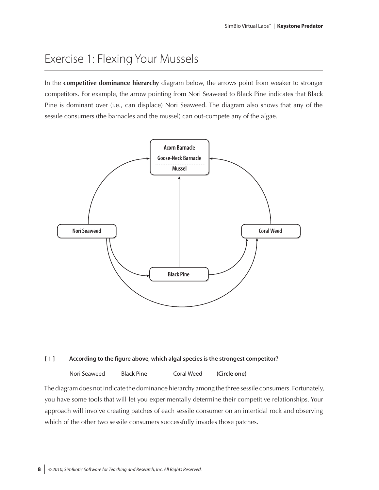# Exercise 1: Flexing Your Mussels

In the **competitive dominance hierarchy** diagram below, the arrows point from weaker to stronger competitors. For example, the arrow pointing from Nori Seaweed to Black Pine indicates that Black Pine is dominant over (i.e., can displace) Nori Seaweed. The diagram also shows that any of the sessile consumers (the barnacles and the mussel) can out-compete any of the algae.



#### **[ 1 ] According to the figure above, which algal species is the strongest competitor?**

Nori Seaweed Black Pine Coral Weed **(Circle one)**

The diagram does not indicate the dominance hierarchy among the three sessile consumers. Fortunately, you have some tools that will let you experimentally determine their competitive relationships. Your approach will involve creating patches of each sessile consumer on an intertidal rock and observing which of the other two sessile consumers successfully invades those patches.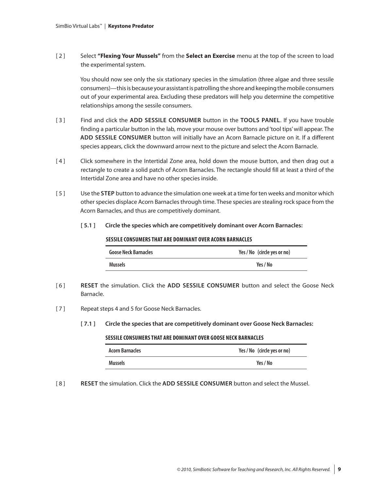[ 2 ] Select **"Flexing Your Mussels"** from the **Select an Exercise** menu at the top of the screen to load the experimental system.

You should now see only the six stationary species in the simulation (three algae and three sessile consumers)—this is because your assistant is patrolling the shore and keeping the mobile consumers out of your experimental area. Excluding these predators will help you determine the competitive relationships among the sessile consumers.

- [ 3 ] Find and click the **ADD SESSILE CONSUMER** button in the **TOOLS PANEL**. If you have trouble finding a particular button in the lab, move your mouse over buttons and 'tool tips' will appear. The **ADD SESSILE CONSUMER** button will initially have an Acorn Barnacle picture on it. If a different species appears, click the downward arrow next to the picture and select the Acorn Barnacle.
- [4] Click somewhere in the Intertidal Zone area, hold down the mouse button, and then drag out a rectangle to create a solid patch of Acorn Barnacles. The rectangle should fill at least a third of the Intertidal Zone area and have no other species inside.
- [ 5 ] Use the **STEP** button to advance the simulation one week at a time for ten weeks and monitor which other species displace Acorn Barnacles through time. These species are stealing rock space from the Acorn Barnacles, and thus are competitively dominant.
	- **[ 5.1 ] Circle the species which are competitively dominant over Acorn Barnacles:**

#### **SESSILE CONSUMERS THAT ARE DOMINANT OVER ACORN BARNACLES**

| <b>Goose Neck Barnacles</b> | Yes / No (circle yes or no) |  |  |
|-----------------------------|-----------------------------|--|--|
| <b>Mussels</b>              | Yes / No                    |  |  |

- [ 6 ] **RESET** the simulation. Click the **ADD SESSILE CONSUMER** button and select the Goose Neck Barnacle.
- [7] Repeat steps 4 and 5 for Goose Neck Barnacles.
	- **[ 7.1 ] Circle the species that are competitively dominant over Goose Neck Barnacles:**

#### **SESSILE CONSUMERS THAT ARE DOMINANT OVER GOOSE NECK BARNACLES**

| <b>Acorn Barnacles</b> | Yes / No (circle yes or no) |
|------------------------|-----------------------------|
| <b>Mussels</b>         | Yes / No                    |

[ 8 ] **RESET** the simulation. Click the **ADD SESSILE CONSUMER** button and select the Mussel.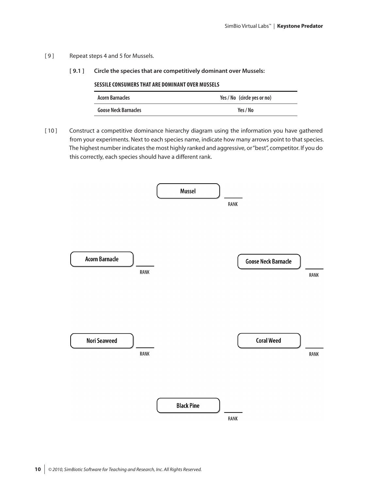- [9] Repeat steps 4 and 5 for Mussels.
	- **[ 9.1 ] Circle the species that are competitively dominant over Mussels:**

| SESSILE CONSUMERS THAT ARE DOMINANT OVER MUSSELS |  |  |  |  |
|--------------------------------------------------|--|--|--|--|
| Yes / No (circle yes or no)                      |  |  |  |  |
| Yes / No                                         |  |  |  |  |
|                                                  |  |  |  |  |

[10] Construct a competitive dominance hierarchy diagram using the information you have gathered from your experiments. Next to each species name, indicate how many arrows point to that species. The highest number indicates the most highly ranked and aggressive, or "best", competitor. If you do this correctly, each species should have a different rank.

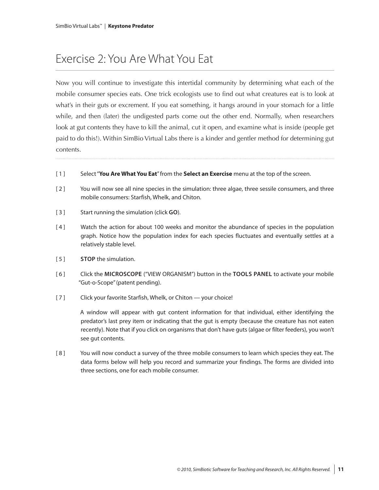# Exercise 2: You Are What You Eat

Now you will continue to investigate this intertidal community by determining what each of the mobile consumer species eats. One trick ecologists use to find out what creatures eat is to look at what's in their guts or excrement. If you eat something, it hangs around in your stomach for a little while, and then (later) the undigested parts come out the other end. Normally, when researchers look at gut contents they have to kill the animal, cut it open, and examine what is inside (people get paid to do this!). Within SimBio Virtual Labs there is a kinder and gentler method for determining gut contents.

- [ 1 ] Select "**You Are What You Eat**" from the **Select an Exercise** menu at the top of the screen.
- [2] You will now see all nine species in the simulation: three algae, three sessile consumers, and three mobile consumers: Starfish, Whelk, and Chiton.
- [ 3 ] Start running the simulation (click **GO**).
- [ 4 ] Watch the action for about 100 weeks and monitor the abundance of species in the population graph. Notice how the population index for each species fluctuates and eventually settles at a relatively stable level.
- [ 5 ] **STOP** the simulation.
- [ 6 ] Click the **MICROSCOPE** ("VIEW ORGANISM") button in the **TOOLS PANEL** to activate your mobile "Gut-o-Scope" (patent pending).
- [7] Click your favorite Starfish, Whelk, or Chiton your choice!

A window will appear with gut content information for that individual, either identifying the predator's last prey item or indicating that the gut is empty (because the creature has not eaten recently). Note that if you click on organisms that don't have guts (algae or filter feeders), you won't see gut contents.

[ 8 ] You will now conduct a survey of the three mobile consumers to learn which species they eat. The data forms below will help you record and summarize your findings. The forms are divided into three sections, one for each mobile consumer.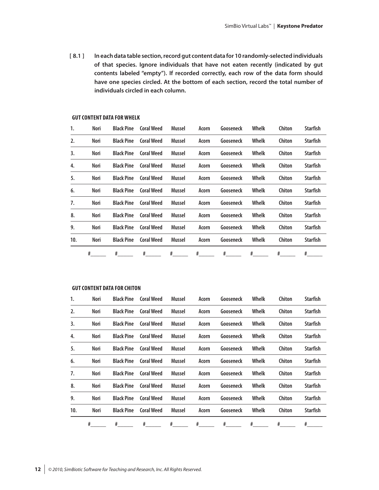**[ 8.1 ] In each data table section, record gut content data for 10 randomly-selected individuals of that species. Ignore individuals that have not eaten recently (indicated by gut contents labeled "empty"). If recorded correctly, each row of the data form should have one species circled. At the bottom of each section, record the total number of individuals circled in each column.** 

|     | #    | #                 | #                 | #             | $\overline{\mathcal{H}}$ <sub>____</sub> | #         | #     | #      | #               |
|-----|------|-------------------|-------------------|---------------|------------------------------------------|-----------|-------|--------|-----------------|
| 10. | Nori | <b>Black Pine</b> | <b>Coral Weed</b> | Mussel        | Acorn                                    | Gooseneck | Whelk | Chiton | <b>Starfish</b> |
| 9.  | Nori | <b>Black Pine</b> | <b>Coral Weed</b> | Mussel        | Acorn                                    | Gooseneck | Whelk | Chiton | <b>Starfish</b> |
| 8.  | Nori | <b>Black Pine</b> | <b>Coral Weed</b> | Mussel        | Acorn                                    | Gooseneck | Whelk | Chiton | <b>Starfish</b> |
| 7.  | Nori | <b>Black Pine</b> | <b>Coral Weed</b> | Mussel        | Acorn                                    | Gooseneck | Whelk | Chiton | <b>Starfish</b> |
| 6.  | Nori | <b>Black Pine</b> | <b>Coral Weed</b> | <b>Mussel</b> | Acorn                                    | Gooseneck | Whelk | Chiton | <b>Starfish</b> |
| 5.  | Nori | <b>Black Pine</b> | <b>Coral Weed</b> | Mussel        | Acorn                                    | Gooseneck | Whelk | Chiton | <b>Starfish</b> |
| 4.  | Nori | <b>Black Pine</b> | <b>Coral Weed</b> | Mussel        | Acorn                                    | Gooseneck | Whelk | Chiton | <b>Starfish</b> |
| 3.  | Nori | <b>Black Pine</b> | <b>Coral Weed</b> | Mussel        | Acorn                                    | Gooseneck | Whelk | Chiton | <b>Starfish</b> |
| 2.  | Nori | <b>Black Pine</b> | <b>Coral Weed</b> | <b>Mussel</b> | Acorn                                    | Gooseneck | Whelk | Chiton | <b>Starfish</b> |
| 1.  | Nori | <b>Black Pine</b> | <b>Coral Weed</b> | Mussel        | Acorn                                    | Gooseneck | Whelk | Chiton | <b>Starfish</b> |

#### **GUT CONTENT DATA FOR WHELK**

#### **GUT CONTENT DATA FOR CHITON**

| 1.  | Nori | <b>Black Pine</b> | <b>Coral Weed</b> | <b>Mussel</b> | Acorn                    | Gooseneck | Whelk   | Chiton                  | <b>Starfish</b> |
|-----|------|-------------------|-------------------|---------------|--------------------------|-----------|---------|-------------------------|-----------------|
| 2.  | Nori | <b>Black Pine</b> | <b>Coral Weed</b> | Mussel        | Acorn                    | Gooseneck | Whelk   | Chiton                  | <b>Starfish</b> |
| 3.  | Nori | <b>Black Pine</b> | <b>Coral Weed</b> | Mussel        | Acorn                    | Gooseneck | Whelk   | Chiton                  | <b>Starfish</b> |
| 4.  | Nori | <b>Black Pine</b> | <b>Coral Weed</b> | Mussel        | Acorn                    | Gooseneck | Whelk   | Chiton                  | <b>Starfish</b> |
| 5.  | Nori | <b>Black Pine</b> | <b>Coral Weed</b> | Mussel        | Acorn                    | Gooseneck | Whelk   | Chiton                  | <b>Starfish</b> |
| 6.  | Nori | <b>Black Pine</b> | <b>Coral Weed</b> | Mussel        | Acorn                    | Gooseneck | Whelk   | Chiton                  | <b>Starfish</b> |
| 7.  | Nori | <b>Black Pine</b> | <b>Coral Weed</b> | Mussel        | Acorn                    | Gooseneck | Whelk   | Chiton                  | <b>Starfish</b> |
| 8.  | Nori | <b>Black Pine</b> | <b>Coral Weed</b> | Mussel        | Acorn                    | Gooseneck | Whelk   | Chiton                  | <b>Starfish</b> |
| 9.  | Nori | <b>Black Pine</b> | <b>Coral Weed</b> | Mussel        | Acorn                    | Gooseneck | Whelk   | Chiton                  | <b>Starfish</b> |
| 10. | Nori | <b>Black Pine</b> | <b>Coral Weed</b> | <b>Mussel</b> | Acorn                    | Gooseneck | Whelk   | Chiton                  | <b>Starfish</b> |
|     | #    |                   | $^{*}$            | $\frac{4}{1}$ | $\overline{\mathcal{H}}$ | $^{\#}$   | $^{\#}$ | $\overline{\mathbf{H}}$ |                 |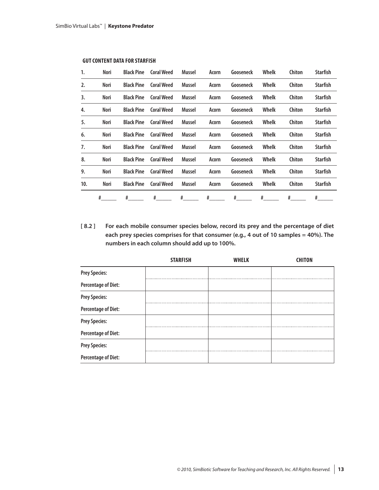| 1.  | Nori | <b>Black Pine</b> | <b>Coral Weed</b> | Mussel      | Acorn | Gooseneck | Whelk | Chiton | Starfish        |
|-----|------|-------------------|-------------------|-------------|-------|-----------|-------|--------|-----------------|
| 2.  | Nori | <b>Black Pine</b> | <b>Coral Weed</b> | Mussel      | Acorn | Gooseneck | Whelk | Chiton | <b>Starfish</b> |
| 3.  | Nori | <b>Black Pine</b> | <b>Coral Weed</b> | Mussel      | Acorn | Gooseneck | Whelk | Chiton | Starfish        |
| 4.  | Nori | <b>Black Pine</b> | <b>Coral Weed</b> | Mussel      | Acorn | Gooseneck | Whelk | Chiton | Starfish        |
| 5.  | Nori | <b>Black Pine</b> | <b>Coral Weed</b> | Mussel      | Acorn | Gooseneck | Whelk | Chiton | Starfish        |
| 6.  | Nori | <b>Black Pine</b> | <b>Coral Weed</b> | Mussel      | Acorn | Gooseneck | Whelk | Chiton | Starfish        |
| 7.  | Nori | <b>Black Pine</b> | <b>Coral Weed</b> | Mussel      | Acorn | Gooseneck | Whelk | Chiton | Starfish        |
| 8.  | Nori | <b>Black Pine</b> | <b>Coral Weed</b> | Mussel      | Acorn | Gooseneck | Whelk | Chiton | Starfish        |
| 9.  | Nori | <b>Black Pine</b> | <b>Coral Weed</b> | Mussel      | Acorn | Gooseneck | Whelk | Chiton | Starfish        |
| 10. | Nori | <b>Black Pine</b> | <b>Coral Weed</b> | Mussel      | Acorn | Gooseneck | Whelk | Chiton | <b>Starfish</b> |
|     | #    | #                 | #                 | $#$ and $*$ | #     | #         | #     | #      | #               |

#### **GUT CONTENT DATA FOR STARFISH**

**[ 8.2 ] For each mobile consumer species below, record its prey and the percentage of diet each prey species comprises for that consumer (e.g., 4 out of 10 samples = 40%). The numbers in each column should add up to 100%.**

|                            | <b>STARFISH</b> | <b>WHELK</b> | <b>CHITON</b> |
|----------------------------|-----------------|--------------|---------------|
| <b>Prey Species:</b>       |                 |              |               |
| <b>Percentage of Diet:</b> |                 |              |               |
| <b>Prey Species:</b>       |                 |              |               |
| Percentage of Diet:        |                 |              |               |
| <b>Prey Species:</b>       |                 |              |               |
| <b>Percentage of Diet:</b> |                 |              |               |
| <b>Prey Species:</b>       |                 |              |               |
| <b>Percentage of Diet:</b> |                 |              |               |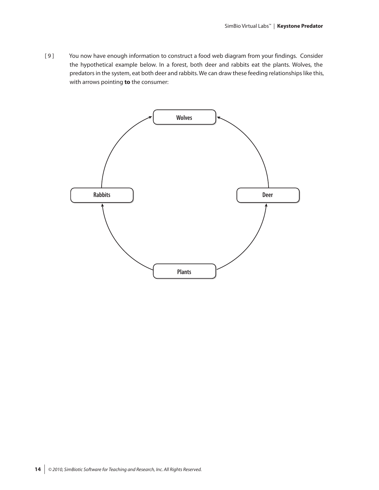[9] You now have enough information to construct a food web diagram from your findings. Consider the hypothetical example below. In a forest, both deer and rabbits eat the plants. Wolves, the predators in the system, eat both deer and rabbits. We can draw these feeding relationships like this, with arrows pointing **to** the consumer:

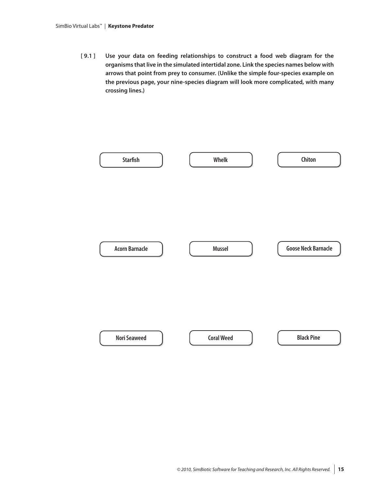**[ 9.1 ] Use your data on feeding relationships to construct a food web diagram for the organisms that live in the simulated intertidal zone. Link the species names below with arrows that point from prey to consumer. (Unlike the simple four-species example on the previous page, your nine-species diagram will look more complicated, with many crossing lines.)**

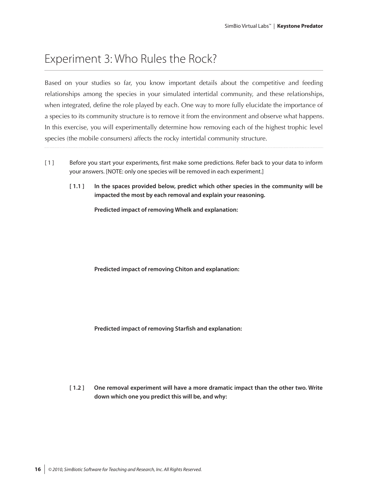# Experiment 3: Who Rules the Rock?

Based on your studies so far, you know important details about the competitive and feeding relationships among the species in your simulated intertidal community, and these relationships, when integrated, define the role played by each. One way to more fully elucidate the importance of a species to its community structure is to remove it from the environment and observe what happens. In this exercise, you will experimentally determine how removing each of the highest trophic level species (the mobile consumers) affects the rocky intertidal community structure.

- [ 1 ] Before you start your experiments, first make some predictions. Refer back to your data to inform your answers. [NOTE: only one species will be removed in each experiment.]
	- **[ 1.1 ] In the spaces provided below, predict which other species in the community will be impacted the most by each removal and explain your reasoning.**

**Predicted impact of removing Whelk and explanation:**

**Predicted impact of removing Chiton and explanation:**

**Predicted impact of removing Starfish and explanation:**

**[ 1.2 ] One removal experiment will have a more dramatic impact than the other two. Write down which one you predict this will be, and why:**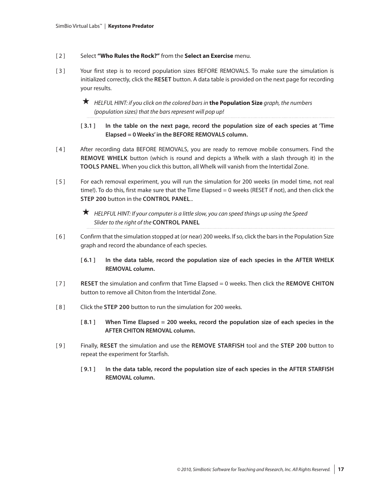- [ 2 ] Select **"Who Rules the Rock?"** from the **Select an Exercise** menu.
- [3] Your first step is to record population sizes BEFORE REMOVALS. To make sure the simulation is initialized correctly, click the **RESET** button. A data table is provided on the next page for recording your results.

 *HELFUL HINT: if you click on the colored bars in* **the Population Size** *graph, the numbers (population sizes) that the bars represent will pop up!*

- **[ 3.1 ] In the table on the next page, record the population size of each species at 'Time Elapsed = 0 Weeks' in the BEFORE REMOVALS column.**
- [ 4 ] After recording data BEFORE REMOVALS, you are ready to remove mobile consumers. Find the **REMOVE WHELK** button (which is round and depicts a Whelk with a slash through it) in the **TOOLS PANEL**. When you click this button, all Whelk will vanish from the Intertidal Zone.
- [5] For each removal experiment, you will run the simulation for 200 weeks (in model time, not real time!). To do this, first make sure that the Time Elapsed = 0 weeks (RESET if not), and then click the **STEP 200** button in the **CONTROL PANEL**..
	- *HELPFUL HINT: If your computer is a little slow, you can speed things up using the Speed Slider to the right of the* **CONTROL PANEL**
- [ 6 ] Confirm that the simulation stopped at (or near) 200 weeks. If so, click the bars in the Population Size graph and record the abundance of each species.
	- **[ 6.1 ] In the data table, record the population size of each species in the AFTER WHELK REMOVAL column.**
- [ 7 ] **RESET** the simulation and confirm that Time Elapsed = 0 weeks. Then click the **REMOVE CHITON** button to remove all Chiton from the Intertidal Zone.
- [ 8 ] Click the **STEP 200** button to run the simulation for 200 weeks.
	- **[ 8.1 ] When Time Elapsed = 200 weeks, record the population size of each species in the AFTER CHITON REMOVAL column.**
- [ 9 ] Finally, **RESET** the simulation and use the **REMOVE STARFISH** tool and the **STEP 200** button to repeat the experiment for Starfish.
	- **[ 9.1 ] In the data table, record the population size of each species in the AFTER STARFISH REMOVAL column.**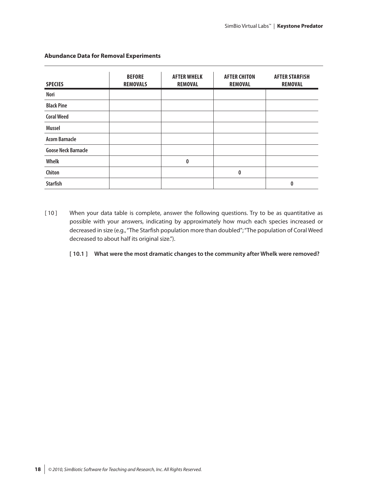| <b>SPECIES</b>             | <b>BEFORE</b><br><b>REMOVALS</b> | <b>AFTER WHELK</b><br><b>REMOVAL</b> | <b>AFTER CHITON</b><br><b>REMOVAL</b> | <b>AFTER STARFISH</b><br><b>REMOVAL</b> |
|----------------------------|----------------------------------|--------------------------------------|---------------------------------------|-----------------------------------------|
| Nori                       |                                  |                                      |                                       |                                         |
| <b>Black Pine</b>          |                                  |                                      |                                       |                                         |
| <b>Coral Weed</b>          |                                  |                                      |                                       |                                         |
| <b>Mussel</b>              |                                  |                                      |                                       |                                         |
| <b>Acorn Barnacle</b>      |                                  |                                      |                                       |                                         |
| <b>Goose Neck Barnacle</b> |                                  |                                      |                                       |                                         |
| Whelk                      |                                  | $\mathbf{0}$                         |                                       |                                         |
| Chiton                     |                                  |                                      | 0                                     |                                         |
| <b>Starfish</b>            |                                  |                                      |                                       | 0                                       |

#### **Abundance Data for Removal Experiments**

[10] When your data table is complete, answer the following questions. Try to be as quantitative as possible with your answers, indicating by approximately how much each species increased or decreased in size (e.g., "The Starfish population more than doubled"; "The population of Coral Weed decreased to about half its original size.").

#### **[ 10.1 ] What were the most dramatic changes to the community after Whelk were removed?**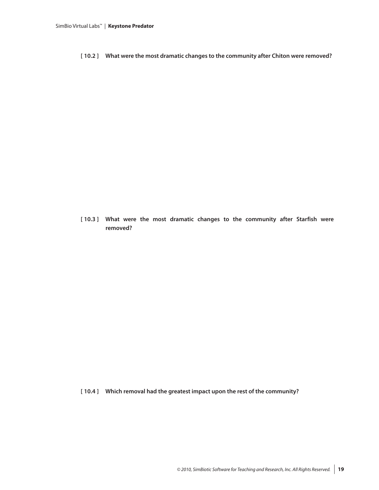**[ 10.2 ] What were the most dramatic changes to the community after Chiton were removed?**

**[ 10.3 ] What were the most dramatic changes to the community after Starfish were removed?**

**[ 10.4 ] Which removal had the greatest impact upon the rest of the community?**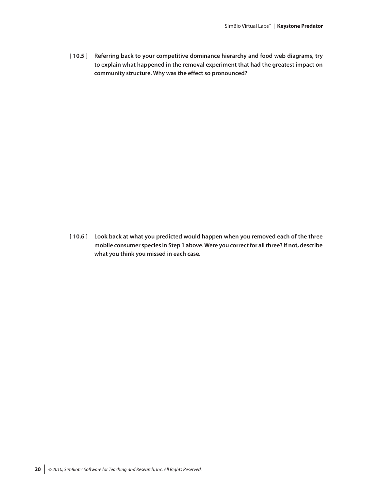**[ 10.5 ] Referring back to your competitive dominance hierarchy and food web diagrams, try to explain what happened in the removal experiment that had the greatest impact on community structure. Why was the effect so pronounced?**

**[ 10.6 ] Look back at what you predicted would happen when you removed each of the three mobile consumer species in Step 1 above. Were you correct for all three? If not, describe what you think you missed in each case.**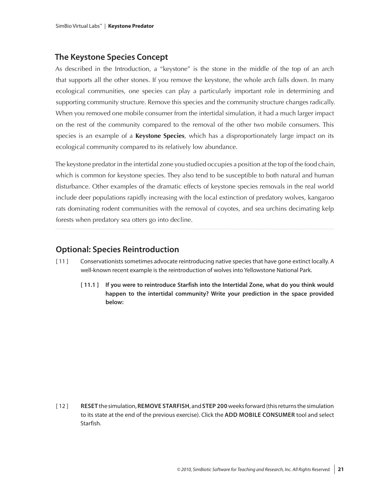### **The Keystone Species Concept**

As described in the Introduction, a "keystone" is the stone in the middle of the top of an arch that supports all the other stones. If you remove the keystone, the whole arch falls down. In many ecological communities, one species can play a particularly important role in determining and supporting community structure. Remove this species and the community structure changes radically. When you removed one mobile consumer from the intertidal simulation, it had a much larger impact on the rest of the community compared to the removal of the other two mobile consumers. This species is an example of a **Keystone Species**, which has a disproportionately large impact on its ecological community compared to its relatively low abundance.

The keystone predator in the intertidal zone you studied occupies a position at the top of the food chain, which is common for keystone species. They also tend to be susceptible to both natural and human disturbance. Other examples of the dramatic effects of keystone species removals in the real world include deer populations rapidly increasing with the local extinction of predatory wolves, kangaroo rats dominating rodent communities with the removal of coyotes, and sea urchins decimating kelp forests when predatory sea otters go into decline.

### **Optional: Species Reintroduction**

- [ 11 ] Conservationists sometimes advocate reintroducing native species that have gone extinct locally. A well-known recent example is the reintroduction of wolves into Yellowstone National Park.
	- **[ 11.1 ] If you were to reintroduce Starfish into the Intertidal Zone, what do you think would happen to the intertidal community? Write your prediction in the space provided below:**

[ 12 ] **RESET** the simulation, **REMOVE STARFISH**, and **STEP 200** weeks forward (this returns the simulation to its state at the end of the previous exercise). Click the **ADD MOBILE CONSUMER** tool and select Starfish.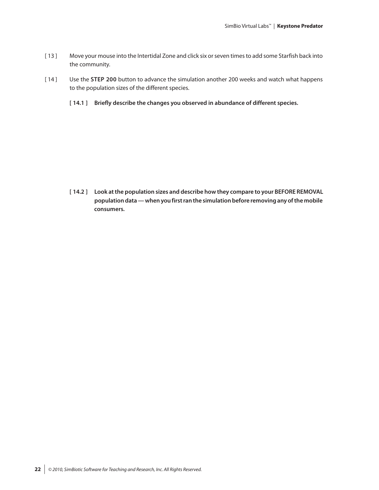- [ 13 ] Move your mouse into the Intertidal Zone and click six or seven times to add some Starfish back into the community.
- [ 14 ] Use the **STEP 200** button to advance the simulation another 200 weeks and watch what happens to the population sizes of the different species.
	- **[ 14.1 ] Briefly describe the changes you observed in abundance of different species.**

**[ 14.2 ] Look at the population sizes and describe how they compare to your BEFORE REMOVAL population data — when you first ran the simulation before removing any of the mobile consumers.**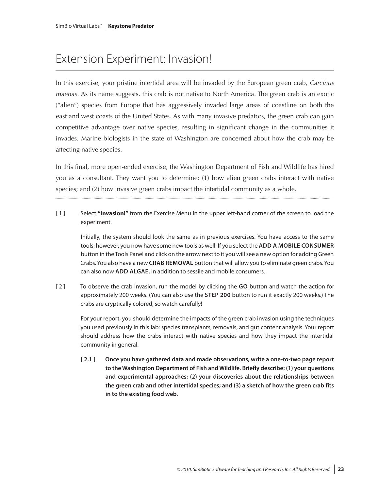# Extension Experiment: Invasion!

In this exercise, your pristine intertidal area will be invaded by the European green crab, *Carcinus maenas*. As its name suggests, this crab is not native to North America. The green crab is an exotic ("alien") species from Europe that has aggressively invaded large areas of coastline on both the east and west coasts of the United States. As with many invasive predators, the green crab can gain competitive advantage over native species, resulting in significant change in the communities it invades. Marine biologists in the state of Washington are concerned about how the crab may be affecting native species.

In this final, more open-ended exercise, the Washington Department of Fish and Wildlife has hired you as a consultant. They want you to determine: (1) how alien green crabs interact with native species; and (2) how invasive green crabs impact the intertidal community as a whole.

[ 1 ] Select **"Invasion!"** from the Exercise Menu in the upper left-hand corner of the screen to load the experiment.

Initially, the system should look the same as in previous exercises. You have access to the same tools; however, you now have some new tools as well. If you select the **ADD A MOBILE CONSUMER** button in the Tools Panel and click on the arrow next to it you will see a new option for adding Green Crabs. You also have a new **CRAB REMOVAL** button that will allow you to eliminate green crabs. You can also now **ADD ALGAE**, in addition to sessile and mobile consumers.

[ 2 ] To observe the crab invasion, run the model by clicking the **GO** button and watch the action for approximately 200 weeks. (You can also use the **STEP 200** button to run it exactly 200 weeks.) The crabs are cryptically colored, so watch carefully!

For your report, you should determine the impacts of the green crab invasion using the techniques you used previously in this lab: species transplants, removals, and gut content analysis. Your report should address how the crabs interact with native species and how they impact the intertidal community in general.

**[ 2.1 ] Once you have gathered data and made observations, write a one-to-two page report to the Washington Department of Fish and Wildlife. Briefly describe: (1) your questions and experimental approaches; (2) your discoveries about the relationships between the green crab and other intertidal species; and (3) a sketch of how the green crab fits in to the existing food web.**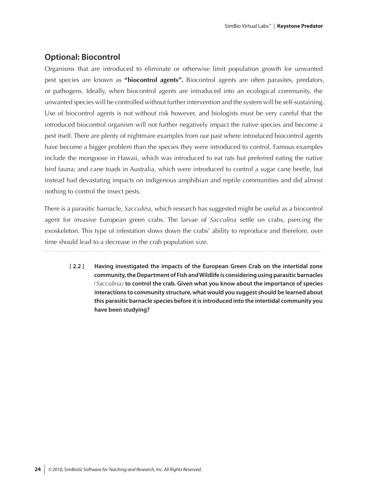### **Optional: Biocontrol**

Organisms that are introduced to eliminate or otherwise limit population growth for unwanted pest species are known as **"biocontrol agents".** Biocontrol agents are often parasites, predators, or pathogens. Ideally, when biocontrol agents are introduced into an ecological community, the unwanted species will be controlled without further intervention and the system will be self-sustaining. Use of biocontrol agents is not without risk however, and biologists must be very careful that the introduced biocontrol organism will not further negatively impact the native species and become a pest itself. There are plenty of nightmare examples from our past where introduced biocontrol agents have become a bigger problem than the species they were introduced to control. Famous examples include the mongoose in Hawaii, which was introduced to eat rats but preferred eating the native bird fauna; and cane toads in Australia, which were introduced to control a sugar cane beetle, but instead had devastating impacts on indigenous amphibian and reptile communities and did almost nothing to control the insect pests.

There is a parasitic barnacle, *Sacculina*, which research has suggested might be useful as a biocontrol agent for invasive European green crabs. The larvae of *Sacculina* settle on crabs, piercing the exoskeleton. This type of infestation slows down the crabs' ability to reproduce and therefore, over time should lead to a decrease in the crab population size.

**[ 2.2 ] Having investigated the impacts of the European Green Crab on the intertidal zone community, the Department of Fish and Wildlife is considering using parasitic barnacles**  *(Sacculina)* **to control the crab. Given what you know about the importance of species interactions to community structure, what would you suggest should be learned about this parasitic barnacle species before it is introduced into the intertidal community you have been studying?**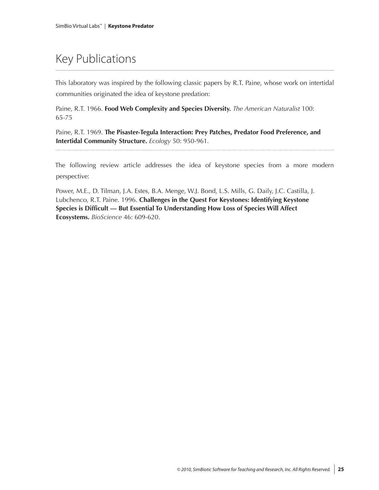# Key Publications

This laboratory was inspired by the following classic papers by R.T. Paine, whose work on intertidal communities originated the idea of keystone predation:

Paine, R.T. 1966. **Food Web Complexity and Species Diversity.** *The American Naturalist* 100: 65-75

Paine, R.T. 1969. **The Pisaster-Tegula Interaction: Prey Patches, Predator Food Preference, and Intertidal Community Structure.** *Ecology* 50: 950-961*.*

The following review article addresses the idea of keystone species from a more modern perspective:

Power, M.E., D. Tilman, J.A. Estes, B.A. Menge, W.J. Bond, L.S. Mills, G. Daily, J.C. Castilla, J. Lubchenco, R.T. Paine. 1996. **Challenges in the Quest For Keystones: Identifying Keystone Species is Difficult — But Essential To Understanding How Loss of Species Will Affect Ecosystems.** *BioScience* 46: 609-620.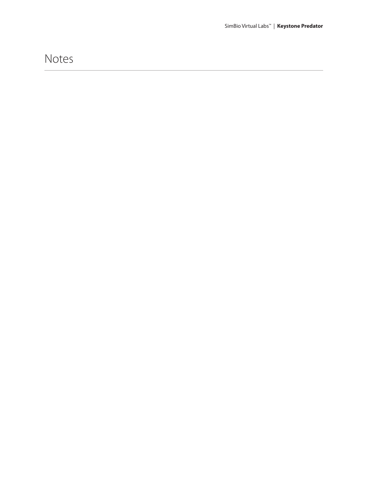## Notes